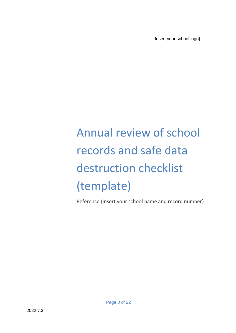{Insert your school logo}

# Annual review of school records and safe data destruction checklist (template)

Reference {Insert your school name and record number}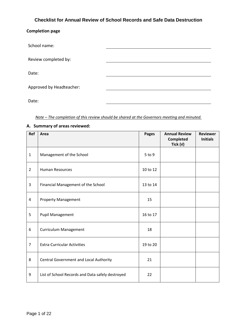| <b>Completion page</b>   |  |
|--------------------------|--|
| School name:             |  |
| Review completed by:     |  |
| Date:                    |  |
| Approved by Headteacher: |  |
| Date:                    |  |

*Note – The completion of this review should be shared at the Governors meeting and minuted.*

#### **A. Summary of areas reviewed:**

| Ref            | Area                                             | <b>Pages</b> | <b>Annual Review</b><br><b>Completed</b><br>Tick (v) | <b>Reviewer</b><br><b>Initials</b> |
|----------------|--------------------------------------------------|--------------|------------------------------------------------------|------------------------------------|
| $\mathbf{1}$   | Management of the School                         | $5$ to $9$   |                                                      |                                    |
| $\overline{2}$ | <b>Human Resources</b>                           | 10 to 12     |                                                      |                                    |
| 3              | Financial Management of the School               | 13 to 14     |                                                      |                                    |
| 4              | <b>Property Management</b>                       | 15           |                                                      |                                    |
| 5              | <b>Pupil Management</b>                          | 16 to 17     |                                                      |                                    |
| 6              | <b>Curriculum Management</b>                     | 18           |                                                      |                                    |
| $\overline{7}$ | <b>Extra-Curricular Activities</b>               | 19 to 20     |                                                      |                                    |
| 8              | Central Government and Local Authority           | 21           |                                                      |                                    |
| 9              | List of School Records and Data safely destroyed | 22           |                                                      |                                    |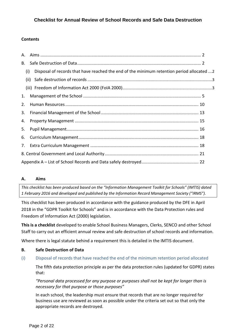#### **Contents**

| В. |                                                                                                  |  |
|----|--------------------------------------------------------------------------------------------------|--|
|    | (i)<br>Disposal of records that have reached the end of the minimum retention period allocated 2 |  |
|    | (ii)                                                                                             |  |
|    |                                                                                                  |  |
| 1. |                                                                                                  |  |
| 2. |                                                                                                  |  |
| 3. |                                                                                                  |  |
| 4. |                                                                                                  |  |
| 5. |                                                                                                  |  |
| 6. |                                                                                                  |  |
|    |                                                                                                  |  |
|    |                                                                                                  |  |
|    |                                                                                                  |  |

#### <span id="page-2-0"></span>**A. Aims**

*This checklist has been produced based on the "Information Management Toolkit for Schools" (IMTIS) dated 1 February 2016 and developed and published by the Information Record Management Society ("IRMS").* 

This checklist has been produced in accordance with the guidance produced by the DFE in April 2018 in the "GDPR Toolkit for Schools" and is in accordance with the Data Protection rules and Freedom of Information Act (2000) legislation.

**This is a checklist** developed to enable School Business Managers, Clerks, SENCO and other School Staff to carry out an efficient annual review and safe destruction of school records and information.

Where there is legal statute behind a requirement this is detailed in the IMTIS document.

#### <span id="page-2-1"></span>**B. Safe Destruction of Data**

<span id="page-2-2"></span>(i) Disposal of records that have reached the end of the minimum retention period allocated

The fifth data protection principle as per the data protection rules (updated for GDPR) states that:

*"Personal data processed for any purpose or purposes shall not be kept for longer than is necessary for that purpose or those purposes"*

In each school, the leadership must ensure that records that are no longer required for business use are reviewed as soon as possible under the criteria set out so that only the appropriate records are destroyed.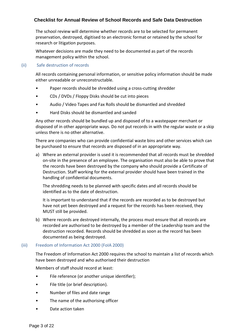The school review will determine whether records are to be selected for permanent preservation, destroyed, digitised to an electronic format or retained by the school for research or litigation purposes.

Whatever decisions are made they need to be documented as part of the records management policy within the school.

#### (ii) Safe destruction of records

<span id="page-3-0"></span>All records containing personal information, or sensitive policy information should be made either unreadable or unreconstructable.

- Paper records should be shredded using a cross-cutting shredder
- CDs / DVDs / Floppy Disks should be cut into pieces
- Audio / Video Tapes and Fax Rolls should be dismantled and shredded
- Hard Disks should be dismantled and sanded

Any other records should be bundled up and disposed of to a wastepaper merchant or disposed of in other appropriate ways. Do not put records in with the regular waste or a skip unless there is no other alternative.

There are companies who can provide confidential waste bins and other services which can be purchased to ensure that records are disposed of in an appropriate way.

a) Where an external provider is used it is recommended that all records must be shredded on-site in the presence of an employee. The organisation must also be able to prove that the records have been destroyed by the company who should provide a Certificate of Destruction. Staff working for the external provider should have been trained in the handling of confidential documents.

The shredding needs to be planned with specific dates and all records should be identified as to the date of destruction.

It is important to understand that if the records are recorded as to be destroyed but have not yet been destroyed and a request for the records has been received, they MUST still be provided.

b) Where records are destroyed internally, the process must ensure that all records are recorded are authorised to be destroyed by a member of the Leadership team and the destruction recorded. Records should be shredded as soon as the record has been documented as being destroyed.

#### <span id="page-3-1"></span>(iii) Freedom of Information Act 2000 (FoIA 2000)

The Freedom of Information Act 2000 requires the school to maintain a list of records which have been destroyed and who authorised their destruction

Members of staff should record at least:

- File reference (or another unique identifier);
- File title (or brief description).
- Number of files and date range
- The name of the authorising officer
- Date action taken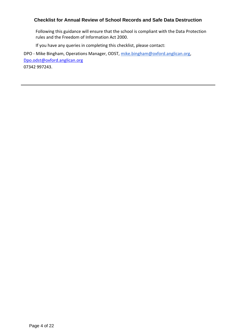Following this guidance will ensure that the school is compliant with the Data Protection rules and the Freedom of Information Act 2000.

If you have any queries in completing this checklist, please contact:

DPO - Mike Bingham, Operations Manager, ODST, [mike.bingham@oxford.anglican.org,](mailto:mike.bingham@oxford.anglican.org) [Dpo.odst@oxford.anglican.org](mailto:Dpo.odst@oxford.anglican.org) 07342 997243.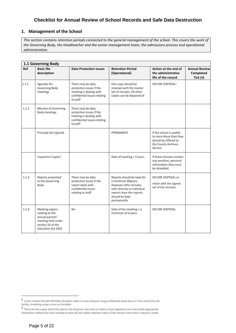#### <span id="page-5-0"></span>**1. Management of the School**

*This section contains retention periods connected to the general management of the school. This covers the work of the Governing Body, the Headteacher and the senior management team, the admissions process and operational administration.*

|       | 1.1 Governing Body                                                                                                           |                                                                                                                      |                                                                                                                                                                            |                                                                                                               |                                                 |
|-------|------------------------------------------------------------------------------------------------------------------------------|----------------------------------------------------------------------------------------------------------------------|----------------------------------------------------------------------------------------------------------------------------------------------------------------------------|---------------------------------------------------------------------------------------------------------------|-------------------------------------------------|
| Ref   | <b>Basic file</b><br>description                                                                                             | <b>Data Protection Issues</b>                                                                                        | <b>Retention Period</b><br>[Operational]                                                                                                                                   | Action at the end of<br>the administrative<br>life of the record                                              | <b>Annual Review</b><br>Completed<br>Tick $(v)$ |
| 1.1.1 | Agendas for<br>Governing Body<br>meetings                                                                                    | There may be data<br>protection issues if the<br>meeting is dealing with<br>confidential issues relating<br>to staff | One copy should be<br>retained with the master<br>set of minutes. All other<br>copies can be disposed of                                                                   | SECURE DISPOSAL <sup>1</sup>                                                                                  |                                                 |
| 1.1.2 | Minutes of Governing<br><b>Body meetings</b>                                                                                 | There may be data<br>protection issues if the<br>meeting is dealing with<br>confidential issues relating<br>to staff |                                                                                                                                                                            |                                                                                                               |                                                 |
|       | Principal Set (signed)                                                                                                       |                                                                                                                      | PERMANENT                                                                                                                                                                  | If the school is unable<br>to store these then they<br>should be offered to<br>the County Archives<br>Service |                                                 |
|       | Inspection Copies <sup>2</sup>                                                                                               |                                                                                                                      | Date of meeting + 3 years                                                                                                                                                  | If these minutes contain<br>any sensitive, personal<br>information they must<br>be shredded.                  |                                                 |
| 1.1.3 | Reports presented<br>to the Governing<br>Body                                                                                | There may be data<br>protection issues if the<br>report deals with<br>confidential issues<br>relating to staff       | Reports should be kept for<br>a minimum of 6years.<br>However, if the minutes<br>refer directly to individual<br>reports then the reports<br>should be kept<br>permanently | SECURE DISPOSAL or<br>retain with the signed<br>set of the minutes                                            |                                                 |
| 1.1.4 | Meeting papers<br>relating to the<br>annual parents'<br>meeting held under<br>section 33 of the<br><b>Education Act 2002</b> | No                                                                                                                   | Date of the meeting $+ a$<br>minimum of 6 years                                                                                                                            | <b>SECURE DISPOSAL</b>                                                                                        |                                                 |

<sup>1</sup> In this context SECURE DISPOSAL should be taken to mean disposal using confidential waste bins, or if the school has the

facility, shredding using a cross cut shredder.<br><sup>2</sup> These are the copies which the clerk to the Governor may wish to retain so that requestors can view all the appropriate information without the clerk needing to print off and collate redacted copies of the minutes each time a request is made.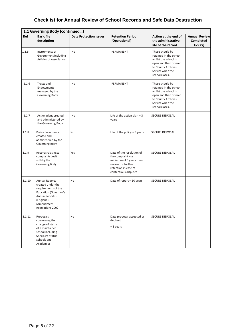|        | 1.1 Governing Body (continued)                                                                                                                               |                               |                                                                                                                                                   |                                                                                                                                                        |                                               |
|--------|--------------------------------------------------------------------------------------------------------------------------------------------------------------|-------------------------------|---------------------------------------------------------------------------------------------------------------------------------------------------|--------------------------------------------------------------------------------------------------------------------------------------------------------|-----------------------------------------------|
| Ref    | <b>Basic file</b><br>description                                                                                                                             | <b>Data Protection Issues</b> | <b>Retention Period</b><br>[Operational]                                                                                                          | Action at the end of<br>the administrative<br>life of the record                                                                                       | <b>Annual Review</b><br>Completed<br>Tick (v) |
| 1.1.5  | Instruments of<br>Government including<br>Articles of Association                                                                                            | No                            | PERMANENT                                                                                                                                         | These should be<br>retained in the school<br>whilst the school is<br>open and then offered<br>to County Archives<br>Service when the<br>school closes. |                                               |
| 1.1.6  | Trusts and<br>Endowments<br>managed by the<br>Governing Body                                                                                                 | No                            | PERMANENT                                                                                                                                         | These should be<br>retained in the school<br>whilst the school is<br>open and then offered<br>to County Archives<br>Service when the<br>school closes. |                                               |
| 1.1.7  | Action plans created<br>and administered by<br>the Governing Body                                                                                            | No                            | Life of the action plan $+3$<br>years                                                                                                             | SECURE DISPOSAL                                                                                                                                        |                                               |
| 1.1.8  | Policy documents<br>created and<br>administered by the<br>Governing Body                                                                                     | <b>No</b>                     | Life of the policy $+3$ years                                                                                                                     | SECURE DISPOSAL                                                                                                                                        |                                               |
| 1.1.9  | Recordsrelatingto<br>complaintsdealt<br>with by the<br>Governing Body                                                                                        | Yes                           | Date of the resolution of<br>the complaint $+$ a<br>minimum of 6 years then<br>review for further<br>retention in case of<br>contentious disputes | SECURE DISPOSAL                                                                                                                                        |                                               |
| 1.1.10 | <b>Annual Reports</b><br>created under the<br>requirements of the<br>Education (Governor's<br>AnnualReports)<br>(England)<br>(Amendment)<br>Regulations 2002 | <b>No</b>                     | Date of report + 10 years                                                                                                                         | <b>SECURE DISPOSAL</b>                                                                                                                                 |                                               |
| 1.1.11 | Proposals<br>concerning the<br>change of status<br>of a maintained<br>school including<br><b>Specialist Status</b><br>Schools and<br>Academies               | No                            | Date proposal accepted or<br>declined<br>+ 3 years                                                                                                | SECURE DISPOSAL                                                                                                                                        |                                               |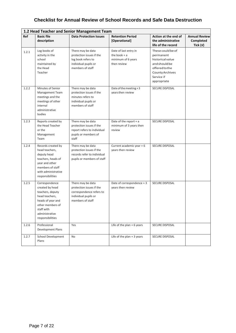|       | 1.2 Head Teacher and Senior Management Team                                                                                                                          |                                                                                                                       |                                                                              |                                                                                                                                       |                                                      |  |  |
|-------|----------------------------------------------------------------------------------------------------------------------------------------------------------------------|-----------------------------------------------------------------------------------------------------------------------|------------------------------------------------------------------------------|---------------------------------------------------------------------------------------------------------------------------------------|------------------------------------------------------|--|--|
| Ref   | <b>Basic file</b><br>description                                                                                                                                     | <b>Data Protection Issues</b>                                                                                         | <b>Retention Period</b><br>[Operational]                                     | Action at the end of<br>the administrative<br>life of the record                                                                      | <b>Annual Review</b><br><b>Completed</b><br>Tick (v) |  |  |
| 1.2.1 | Log books of<br>activity in the<br>school<br>maintained by<br>the Head<br>Teacher                                                                                    | There may be data<br>protection issues if the<br>log book refers to<br>individual pupils or<br>members of staff       | Date of last entry in<br>the book $+ a$<br>minimum of 6 years<br>then review | These could be of<br>permanent<br>historical value<br>and should be<br>offered to the<br>County Archives<br>Service if<br>appropriate |                                                      |  |  |
| 1.2.2 | Minutes of Senior<br>Management Team<br>meetings and the<br>meetings of other<br>internal<br>administrative<br>bodies                                                | There may be data<br>protection issues if the<br>minutes refers to<br>individual pupils or<br>members of staff        | Date of the meeting + 3<br>years then review                                 | SECURE DISPOSAL                                                                                                                       |                                                      |  |  |
| 1.2.3 | Reports created by<br>the Head Teacher<br>or the<br>Management<br>Team                                                                                               | There may be data<br>protection issues if the<br>report refers to individual<br>pupils or members of<br>staff         | Date of the report + a<br>minimum of 3 years then<br>review                  | SECURE DISPOSAL                                                                                                                       |                                                      |  |  |
| 1.2.4 | Records created by<br>head teachers,<br>deputy head<br>teachers, heads of<br>year and other<br>members of staff<br>with administrative<br>responsibilities           | There may be data<br>protection issues if the<br>records refer to individual<br>pupils or members of staff            | Current academic year + 6<br>years then review                               | SECURE DISPOSAL                                                                                                                       |                                                      |  |  |
| 1.2.5 | Correspondence<br>created by head<br>teachers, deputy<br>head teachers,<br>heads of year and<br>other members of<br>staff with<br>administrative<br>responsibilities | There may be data<br>protection issues if the<br>correspondence refers to<br>individual pupils or<br>members of staff | Date of correspondence + 3<br>years then review                              | <b>SECURE DISPOSAL</b>                                                                                                                |                                                      |  |  |
| 1.2.6 | Professional<br>Development Plans                                                                                                                                    | Yes                                                                                                                   | Life of the plan $+6$ years                                                  | SECURE DISPOSAL                                                                                                                       |                                                      |  |  |
| 1.2.7 | School Development<br>Plans                                                                                                                                          | No                                                                                                                    | Life of the plan $+3$ years                                                  | SECURE DISPOSAL                                                                                                                       |                                                      |  |  |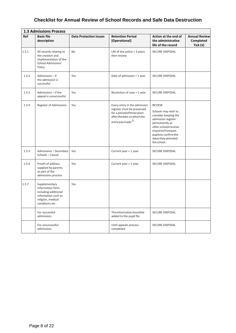|       | <b>1.3 Admissions Process</b>                                                                                           |                               |                                                                                                                                                          |                                                                                                                                                                                                                 |                                                        |
|-------|-------------------------------------------------------------------------------------------------------------------------|-------------------------------|----------------------------------------------------------------------------------------------------------------------------------------------------------|-----------------------------------------------------------------------------------------------------------------------------------------------------------------------------------------------------------------|--------------------------------------------------------|
| Ref   | <b>Basic file</b><br>description                                                                                        | <b>Data Protection Issues</b> | <b>Retention Period</b><br>[Operational]                                                                                                                 | Action at the end of<br>the administrative<br>life of the record                                                                                                                                                | <b>Annual Review</b><br><b>Completed</b><br>Tick $(v)$ |
| 1.3.1 | All records relating to<br>the creation and<br>implementation of the<br>School Admissions'<br>Policy                    | No                            | Life of the policy $+3$ years<br>then review                                                                                                             | SECURE DISPOSAL                                                                                                                                                                                                 |                                                        |
| 1.3.2 | Admissions - if<br>the admission is<br>successful                                                                       | Yes                           | Date of admission + 1 year                                                                                                                               | SECURE DISPOSAL                                                                                                                                                                                                 |                                                        |
| 1.3.3 | Admissions - if the<br>appeal is unsuccessful                                                                           | Yes                           | Resolution of case + 1 year                                                                                                                              | SECURE DISPOSAL                                                                                                                                                                                                 |                                                        |
| 1.3.4 | Register of Admissions                                                                                                  | Yes                           | Every entry in the admission<br>register must be preserved<br>for a period of three years<br>after the date on which the<br>entry was made. <sup>3</sup> | <b>REVIEW</b><br>Schools may wish to<br>consider keeping the<br>admission register<br>permanently as<br>often schoolsreceive<br>enquiriesfrompast<br>pupilsto confirm the<br>dates they attended<br>the school. |                                                        |
| 1.3.5 | Admissions - Secondary<br>Schools - Casual                                                                              | Yes                           | Current year + 1 year                                                                                                                                    | SECURE DISPOSAL                                                                                                                                                                                                 |                                                        |
| 1.3.6 | Proofs of address<br>supplied by parents<br>as part of the<br>admissions process                                        | Yes                           | Current year + 1 year                                                                                                                                    | SECURE DISPOSAL                                                                                                                                                                                                 |                                                        |
| 1.3.7 | Supplementary<br>Information form<br>including additional<br>information such as<br>religion, medical<br>conditions etc | Yes                           |                                                                                                                                                          |                                                                                                                                                                                                                 |                                                        |
|       | For successful<br>admissions                                                                                            |                               | This information should be<br>added to the pupil file                                                                                                    | SECURE DISPOSAL                                                                                                                                                                                                 |                                                        |
|       | For unsuccessful<br>admissions                                                                                          |                               | Until appeals process<br>completed                                                                                                                       | <b>SECURE DISPOSAL</b>                                                                                                                                                                                          |                                                        |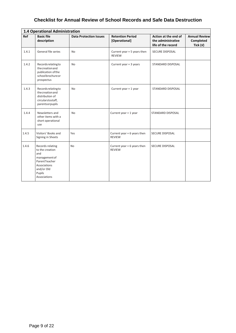|       | 1.4 Operational Administration                                                                                                       |                               |                                              |                                                                  |                                                 |  |  |
|-------|--------------------------------------------------------------------------------------------------------------------------------------|-------------------------------|----------------------------------------------|------------------------------------------------------------------|-------------------------------------------------|--|--|
| Ref   | <b>Basic file</b><br>description                                                                                                     | <b>Data Protection Issues</b> | <b>Retention Period</b><br>[Operational]     | Action at the end of<br>the administrative<br>life of the record | <b>Annual Review</b><br>Completed<br>Tick $(v)$ |  |  |
| 1.4.1 | General file series                                                                                                                  | <b>No</b>                     | Current year + 5 years then<br><b>REVIEW</b> | SECURE DISPOSAL                                                  |                                                 |  |  |
| 1.4.2 | Records relating to<br>thecreation and<br>publication of the<br>schoolbrochureor<br>prospectus                                       | <b>No</b>                     | Current year + 3 years                       | STANDARD DISPOSAL                                                |                                                 |  |  |
| 1.4.3 | Records relating to<br>the creation and<br>distribution of<br>circularstostaff,<br>parentsorpupils                                   | <b>No</b>                     | Current year + 1 year                        | STANDARD DISPOSAL                                                |                                                 |  |  |
| 1.4.4 | Newsletters and<br>other items with a<br>short operational<br>use                                                                    | <b>No</b>                     | Current year + 1 year                        | STANDARD DISPOSAL                                                |                                                 |  |  |
| 1.4.5 | Visitors' Books and<br>Signing in Sheets                                                                                             | Yes                           | Current year + 6 years then<br><b>REVIEW</b> | SECURE DISPOSAL                                                  |                                                 |  |  |
| 1.4.6 | Records relating<br>to the creation<br>and<br>management of<br>ParentTeacher<br>Associations<br>and/or Old<br>Pupils<br>Associations | <b>No</b>                     | Current year + 6 years then<br><b>REVIEW</b> | <b>SECURE DISPOSAL</b>                                           |                                                 |  |  |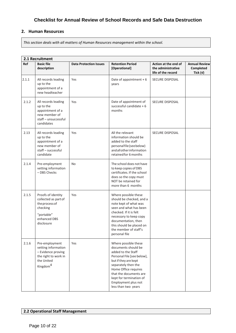#### <span id="page-10-0"></span>**2. Human Resources**

*This section deals with all matters of Human Resources management within the school.*

|       | 2.1 Recruitment                                                                                                           |                               |                                                                                                                                                                                                                                                                           |                                                                  |                                                 |  |  |
|-------|---------------------------------------------------------------------------------------------------------------------------|-------------------------------|---------------------------------------------------------------------------------------------------------------------------------------------------------------------------------------------------------------------------------------------------------------------------|------------------------------------------------------------------|-------------------------------------------------|--|--|
| Ref   | <b>Basic file</b><br>description                                                                                          | <b>Data Protection Issues</b> | <b>Retention Period</b><br>[Operational]                                                                                                                                                                                                                                  | Action at the end of<br>the administrative<br>life of the record | <b>Annual Review</b><br>Completed<br>Tick $(v)$ |  |  |
| 2.1.1 | All records leading<br>up to the<br>appointment of a<br>new headteacher                                                   | Yes                           | Date of appointment + 6<br>years                                                                                                                                                                                                                                          | SECURE DISPOSAL                                                  |                                                 |  |  |
| 2.1.2 | All records leading<br>up to the<br>appointment of a<br>new member of<br>staff - unsuccessful<br>candidates               | Yes                           | Date of appointment of<br>successful candidate + 6<br>months                                                                                                                                                                                                              | <b>SECURE DISPOSAL</b>                                           |                                                 |  |  |
| 2.13  | All records leading<br>up to the<br>appointment of a<br>new member of<br>staff - successful<br>candidate                  | Yes                           | All the relevant<br>information should be<br>added to the staff<br>personal file (see below)<br>andallotherinformation<br>retained for 6 months                                                                                                                           | SECURE DISPOSAL                                                  |                                                 |  |  |
| 2.1.4 | Pre-employment<br>vetting information<br>- DBS Checks                                                                     | No                            | The school does not have<br>to keep copies of DBS<br>certificates. If the school<br>does so the copy must<br>NOT be retained for<br>more than 6 months                                                                                                                    |                                                                  |                                                 |  |  |
| 2.1.5 | Proofs of identity<br>collected as part of<br>the process of<br>checking<br>"portable"<br>enhanced DBS<br>disclosure      | Yes                           | Where possible these<br>should be checked, and a<br>note kept of what was<br>seen and what has been<br>checked. If it is felt<br>necessary to keep copy<br>documentation, then<br>this should be placed on<br>the member of staff's<br>personal file                      |                                                                  |                                                 |  |  |
| 2.1.6 | Pre-employment<br>vetting information<br>- Evidence proving<br>the right to work in<br>the United<br>Kingdom <sup>4</sup> | Yes                           | Where possible these<br>documents should be<br>added to the Staff<br>Personal File [see below],<br>but if they are kept<br>separately then the<br>Home Office requires<br>that the documents are<br>kept for termination of<br>Employment plus not<br>less than two years |                                                                  |                                                 |  |  |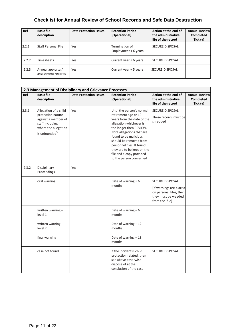| Ref   | <b>Basic file</b><br>description        | <b>Data Protection Issues</b> | <b>Retention Period</b><br>[Operational] | Action at the end of<br>the administrative<br>life of the record | <b>Annual Review</b><br>Completed<br>Tick $(v)$ |
|-------|-----------------------------------------|-------------------------------|------------------------------------------|------------------------------------------------------------------|-------------------------------------------------|
| 2.2.1 | Staff Personal File                     | Yes                           | Termination of<br>Employment $+6$ years  | <b>SECURE DISPOSAL</b>                                           |                                                 |
| 2.2.2 | <b>Timesheets</b>                       | Yes                           | Current year + 6 years                   | <b>SECURE DISPOSAL</b>                                           |                                                 |
| 2.2.3 | Annual appraisal/<br>assessment records | Yes                           | Current year + 5 years                   | <b>SECURE DISPOSAL</b>                                           |                                                 |

|       | 2.3 Management of Disciplinary and Grievance Processes                                                                                    |                               |                                                                                                                                                                                                                                                                                                                                         |                                                                                                                       |                                                 |  |  |
|-------|-------------------------------------------------------------------------------------------------------------------------------------------|-------------------------------|-----------------------------------------------------------------------------------------------------------------------------------------------------------------------------------------------------------------------------------------------------------------------------------------------------------------------------------------|-----------------------------------------------------------------------------------------------------------------------|-------------------------------------------------|--|--|
| Ref   | <b>Basic file</b><br>description                                                                                                          | <b>Data Protection Issues</b> | <b>Retention Period</b><br>[Operational]                                                                                                                                                                                                                                                                                                | Action at the end of<br>the administrative<br>life of the record                                                      | <b>Annual Review</b><br>Completed<br>Tick $(v)$ |  |  |
| 2.3.1 | Allegation of a child<br>protection nature<br>against a member of<br>staff including<br>where the allegation<br>is unfounded <sup>5</sup> | Yes                           | Until the person's normal<br>retirement age or 10<br>years from the date of the<br>allegation whichever is<br>the longer then REVIEW.<br>Note allegations that are<br>found to be malicious<br>should be removed from<br>personnel files. If found<br>they are to be kept on the<br>file and a copy provided<br>to the person concerned | <b>SECURE DISPOSAL</b><br>These records must be<br>shredded                                                           |                                                 |  |  |
| 2.3.2 | Disciplinary<br>Proceedings                                                                                                               | Yes                           |                                                                                                                                                                                                                                                                                                                                         |                                                                                                                       |                                                 |  |  |
|       | oral warning                                                                                                                              |                               | Date of warning + 6<br>months                                                                                                                                                                                                                                                                                                           | <b>SECURE DISPOSAL</b><br>[If warnings are placed<br>on personal files, then<br>they must be weeded<br>from the file] |                                                 |  |  |
|       | written warning-<br>level 1                                                                                                               |                               | Date of warning + 6<br>months                                                                                                                                                                                                                                                                                                           |                                                                                                                       |                                                 |  |  |
|       | written warning-<br>level 2                                                                                                               |                               | Date of warning + 12<br>months                                                                                                                                                                                                                                                                                                          |                                                                                                                       |                                                 |  |  |
|       | final warning                                                                                                                             |                               | Date of warning + 18<br>months                                                                                                                                                                                                                                                                                                          |                                                                                                                       |                                                 |  |  |
|       | case not found                                                                                                                            |                               | If the incident is child<br>protection related, then<br>see above otherwise<br>dispose of at the<br>conclusion of the case                                                                                                                                                                                                              | SECURE DISPOSAL                                                                                                       |                                                 |  |  |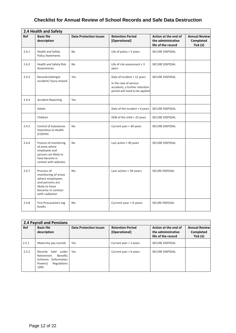|       | 2.4 Health and Safety                                                                                                            |                               |                                                                                                                           |                                                                  |                                                 |  |  |
|-------|----------------------------------------------------------------------------------------------------------------------------------|-------------------------------|---------------------------------------------------------------------------------------------------------------------------|------------------------------------------------------------------|-------------------------------------------------|--|--|
| Ref   | <b>Basic file</b><br>description                                                                                                 | <b>Data Protection Issues</b> | <b>Retention Period</b><br>[Operational]                                                                                  | Action at the end of<br>the administrative<br>life of the record | <b>Annual Review</b><br>Completed<br>Tick $(v)$ |  |  |
| 2.4.1 | Health and Safety<br><b>Policy Statements</b>                                                                                    | No                            | Life of policy $+3$ years                                                                                                 | <b>SECURE DISPOSAL</b>                                           |                                                 |  |  |
| 2.4.2 | Health and Safety Risk<br>Assessments                                                                                            | <b>No</b>                     | Life of risk assessment $+3$<br>years                                                                                     | SECURE DISPOSAL                                                  |                                                 |  |  |
| 2.4.3 | Recordsrelatingto<br>accident/injury atwork                                                                                      | Yes                           | Date of incident + 12 years<br>In the case of serious<br>accidents, a further retention<br>period will need to be applied | SECURE DISPOSAL                                                  |                                                 |  |  |
| 2.4.4 | <b>Accident Reporting</b>                                                                                                        | Yes                           |                                                                                                                           |                                                                  |                                                 |  |  |
|       | Adults                                                                                                                           |                               | Date of the incident + 6 years                                                                                            | SECURE DISPOSAL                                                  |                                                 |  |  |
|       | Children                                                                                                                         |                               | DOB of the child + 25 years                                                                                               | SECURE DISPOSAL                                                  |                                                 |  |  |
| 2.4.5 | <b>Control of Substances</b><br>Hazardous to Health<br>(COSHH)                                                                   | <b>No</b>                     | Current year + 40 years                                                                                                   | SECURE DISPOSAL                                                  |                                                 |  |  |
| 2.4.6 | Process of monitoring<br>of areas where<br>employees and<br>persons are likely to<br>have become in<br>contact with asbestos     | <b>No</b>                     | Last action + 40 years                                                                                                    | <b>SECURE DISPOSAL</b>                                           |                                                 |  |  |
| 2.4.7 | Process of<br>monitoring of areas<br>where employees<br>and persons are<br>likely to have<br>become in contact<br>with radiation | <b>No</b>                     | Last action + 50 years                                                                                                    | <b>SECURE DISPOSAL</b>                                           |                                                 |  |  |
| 2.4.8 | Fire Precautions log<br>books                                                                                                    | <b>No</b>                     | Current year + 6 years                                                                                                    | <b>SECURE DISPOSAL</b>                                           |                                                 |  |  |

| <b>2.4 Payroll and Pensions</b> |                                                                                                                        |                               |                                          |                                                                  |                                                 |  |  |  |
|---------------------------------|------------------------------------------------------------------------------------------------------------------------|-------------------------------|------------------------------------------|------------------------------------------------------------------|-------------------------------------------------|--|--|--|
| Ref                             | <b>Basic file</b><br>description                                                                                       | <b>Data Protection Issues</b> | <b>Retention Period</b><br>[Operational] | Action at the end of<br>the administrative<br>life of the record | <b>Annual Review</b><br>Completed<br>Tick $(v)$ |  |  |  |
| 2.5.1                           | Maternity pay records                                                                                                  | Yes                           | Current year + 3 years                   | <b>SECURE DISPOSAL</b>                                           |                                                 |  |  |  |
| 2.5.2                           | Records<br>held<br>under<br><b>Benefits</b><br>Retirement<br>(Information<br>Schemes<br>Regulations<br>Powers)<br>1995 | Yes                           | Current year + 6 years                   | SECURE DISPOSAL                                                  |                                                 |  |  |  |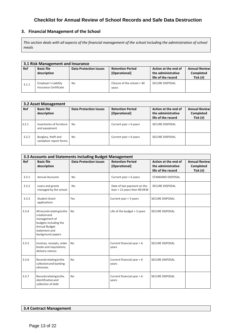#### <span id="page-13-0"></span>**3. Financial Management of the School**

*This section deals with all aspects of the financial management of the school including the administration of school meals*

| 3.1 Risk Management and Insurance |                                               |                               |                                          |                                                                  |                                                 |  |  |
|-----------------------------------|-----------------------------------------------|-------------------------------|------------------------------------------|------------------------------------------------------------------|-------------------------------------------------|--|--|
| <b>Ref</b>                        | <b>Basic file</b><br>description              | <b>Data Protection Issues</b> | <b>Retention Period</b><br>[Operational] | Action at the end of<br>the administrative<br>life of the record | <b>Annual Review</b><br>Completed<br>Tick $(v)$ |  |  |
| 3.1.1                             | Employer's Liability<br>Insurance Certificate | N <sub>0</sub>                | Closure of the school $+40$<br>years     | <b>SECURE DISPOSAL</b>                                           |                                                 |  |  |

| 3.2 Asset Management |                                               |                               |                                          |                                                                  |                                                 |  |  |
|----------------------|-----------------------------------------------|-------------------------------|------------------------------------------|------------------------------------------------------------------|-------------------------------------------------|--|--|
| Ref                  | <b>Basic file</b><br>description              | <b>Data Protection Issues</b> | <b>Retention Period</b><br>[Operational] | Action at the end of<br>the administrative<br>life of the record | <b>Annual Review</b><br>Completed<br>Tick $(v)$ |  |  |
| 3.2.1                | Inventories of furniture<br>and equipment     | No                            | Current year $+6$ years                  | <b>SECURE DISPOSAL</b>                                           |                                                 |  |  |
| 3.2.2                | Burglary, theft and<br>vandalism report forms | <b>No</b>                     | Current year $+6$ years                  | SECURE DISPOSAL                                                  |                                                 |  |  |

|       | 3.3 Accounts and Statements including Budget Management                                                                                             |                               |                                                            |                                                                  |                                                 |  |  |  |
|-------|-----------------------------------------------------------------------------------------------------------------------------------------------------|-------------------------------|------------------------------------------------------------|------------------------------------------------------------------|-------------------------------------------------|--|--|--|
| Ref   | <b>Basic file</b><br>description                                                                                                                    | <b>Data Protection Issues</b> | <b>Retention Period</b><br>[Operational]                   | Action at the end of<br>the administrative<br>life of the record | <b>Annual Review</b><br>Completed<br>Tick $(v)$ |  |  |  |
| 3.3.1 | <b>Annual Accounts</b>                                                                                                                              | <b>No</b>                     | Current year + 6 years                                     | STANDARD DISPOSAL                                                |                                                 |  |  |  |
| 3.3.2 | Loans and grants<br>managed by the school                                                                                                           | <b>No</b>                     | Date of last payment on the<br>loan + 12 years then REVIEW | SECURE DISPOSAL                                                  |                                                 |  |  |  |
| 3.3.3 | Student Grant<br>applications                                                                                                                       | Yes                           | Current year + 3 years                                     | <b>SECURE DISPOSAL</b>                                           |                                                 |  |  |  |
| 3.3.4 | All records relating to the<br>creation and<br>management of<br>budgets including the<br><b>Annual Budget</b><br>statement and<br>background papers | <b>No</b>                     | Life of the budget $+3$ years                              | <b>SECURE DISPOSAL</b>                                           |                                                 |  |  |  |
| 3.3.5 | Invoices, receipts, order<br>books and requisitions,<br>delivery notices                                                                            | <b>No</b>                     | Current financial year + 6<br>years                        | <b>SECURE DISPOSAL</b>                                           |                                                 |  |  |  |
| 3.3.6 | Records relating to the<br>collection and banking<br>ofmonies                                                                                       | <b>No</b>                     | Current financial year + 6<br>years                        | <b>SECURE DISPOSAL</b>                                           |                                                 |  |  |  |
| 3.3.7 | Records relating to the<br>identification and<br>collection of debt                                                                                 | No                            | Current financial year + 6<br>vears                        | <b>SECURE DISPOSAL</b>                                           |                                                 |  |  |  |

#### **3.4 Contract Management**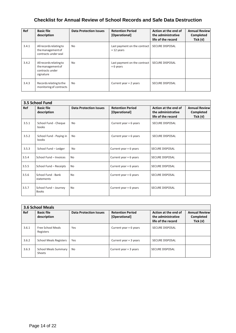| <b>Ref</b> | <b>Basic file</b><br>description                                             | <b>Data Protection Issues</b> | <b>Retention Period</b><br>[Operational]    | Action at the end of<br>the administrative<br>life of the record | <b>Annual Review</b><br>Completed<br>Tick $(v)$ |
|------------|------------------------------------------------------------------------------|-------------------------------|---------------------------------------------|------------------------------------------------------------------|-------------------------------------------------|
| 3.4.1      | All records relating to<br>the management of<br>contracts under seal         | No                            | Last payment on the contract<br>$+12$ years | <b>SECURE DISPOSAL</b>                                           |                                                 |
| 3.4.2      | All records relating to<br>the management of<br>contracts under<br>signature | No                            | Last payment on the contract<br>+6 years    | <b>SECURE DISPOSAL</b>                                           |                                                 |
| 3.4.3      | Records relating to the<br>monitoring of contracts                           | No                            | Current year + 2 years                      | SECURE DISPOSAL                                                  |                                                 |

| 3.5 School Fund |                                       |                               |                                          |                                                                  |                                                 |  |  |
|-----------------|---------------------------------------|-------------------------------|------------------------------------------|------------------------------------------------------------------|-------------------------------------------------|--|--|
| <b>Ref</b>      | <b>Basic file</b><br>description      | <b>Data Protection Issues</b> | <b>Retention Period</b><br>[Operational] | Action at the end of<br>the administrative<br>life of the record | <b>Annual Review</b><br>Completed<br>Tick $(v)$ |  |  |
| 3.5.1           | School Fund - Cheque<br>books         | No                            | Current year + 6 years                   | <b>SECURE DISPOSAL</b>                                           |                                                 |  |  |
| 3.5.2           | School Fund - Paying in<br>books      | No                            | Current year + 6 years                   | <b>SECURE DISPOSAL</b>                                           |                                                 |  |  |
| 3.5.3           | School Fund - Ledger                  | <b>No</b>                     | Current year + 6 years                   | <b>SECURE DISPOSAL</b>                                           |                                                 |  |  |
| 3.5.4           | School Fund - Invoices                | <b>No</b>                     | Current year + 6 years                   | <b>SECURE DISPOSAL</b>                                           |                                                 |  |  |
| 3.5.5           | School Fund - Receipts                | No                            | Current year + 6 years                   | <b>SECURE DISPOSAL</b>                                           |                                                 |  |  |
| 3.5.6           | School Fund - Bank<br>statements      | <b>No</b>                     | Current year + 6 years                   | <b>SECURE DISPOSAL</b>                                           |                                                 |  |  |
| 3.5.7           | School Fund - Journey<br><b>Books</b> | <b>No</b>                     | Current year + 6 years                   | <b>SECURE DISPOSAL</b>                                           |                                                 |  |  |

|       | <b>3.6 School Meals</b>                      |                               |                                          |                                                                  |                                                 |  |  |  |
|-------|----------------------------------------------|-------------------------------|------------------------------------------|------------------------------------------------------------------|-------------------------------------------------|--|--|--|
| Ref   | <b>Basic file</b><br>description             | <b>Data Protection Issues</b> | <b>Retention Period</b><br>[Operational] | Action at the end of<br>the administrative<br>life of the record | <b>Annual Review</b><br>Completed<br>Tick $(v)$ |  |  |  |
| 3.6.1 | Free School Meals<br>Registers               | Yes                           | Current year + 6 years                   | <b>SECURE DISPOSAL</b>                                           |                                                 |  |  |  |
| 3.6.2 | <b>School Meals Registers</b>                | Yes                           | Current year + 3 years                   | SECURE DISPOSAL                                                  |                                                 |  |  |  |
| 3.6.3 | <b>School Meals Summary</b><br><b>Sheets</b> | No                            | Current year + 3 years                   | <b>SECURE DISPOSAL</b>                                           |                                                 |  |  |  |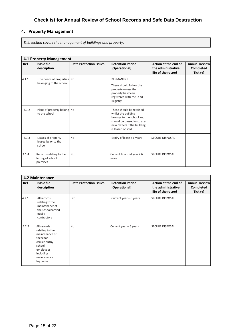## <span id="page-15-0"></span>**4. Property Management**

*This section covers the management of buildings and property.*

|       | 4.1 Property Management                                  |                               |                                                                                                                                                               |                                                                  |                                                 |  |  |  |
|-------|----------------------------------------------------------|-------------------------------|---------------------------------------------------------------------------------------------------------------------------------------------------------------|------------------------------------------------------------------|-------------------------------------------------|--|--|--|
| Ref   | <b>Basic file</b><br>description                         | <b>Data Protection Issues</b> | <b>Retention Period</b><br>[Operational]                                                                                                                      | Action at the end of<br>the administrative<br>life of the record | <b>Annual Review</b><br>Completed<br>Tick $(v)$ |  |  |  |
| 4.1.1 | Title deeds of properties No<br>belonging to the school  |                               | PERMANENT<br>These should follow the<br>property unless the<br>property has been<br>registered with the Land<br>Registry                                      |                                                                  |                                                 |  |  |  |
| 4.1.2 | Plans of property belong No<br>to the school             |                               | These should be retained<br>whilst the building<br>belongs to the school and<br>should be passed onto any<br>new owners if the building<br>is leased or sold. |                                                                  |                                                 |  |  |  |
| 4.1.3 | Leases of property<br>leased by or to the<br>school      | <b>No</b>                     | Expiry of lease + 6 years                                                                                                                                     | <b>SECURE DISPOSAL</b>                                           |                                                 |  |  |  |
| 4.1.4 | Records relating to the<br>letting of school<br>premises | <b>No</b>                     | Current financial year + 6<br>years                                                                                                                           | <b>SECURE DISPOSAL</b>                                           |                                                 |  |  |  |

| 4.2 Maintenance |                                                                                                                                                |                               |                                          |                                                                  |                                                 |  |  |  |
|-----------------|------------------------------------------------------------------------------------------------------------------------------------------------|-------------------------------|------------------------------------------|------------------------------------------------------------------|-------------------------------------------------|--|--|--|
| <b>Ref</b>      | <b>Basic file</b><br>description                                                                                                               | <b>Data Protection Issues</b> | <b>Retention Period</b><br>[Operational] | Action at the end of<br>the administrative<br>life of the record | <b>Annual Review</b><br>Completed<br>Tick $(v)$ |  |  |  |
| 4.2.1           | All records<br>relating to the<br>maintenance of<br>the schoolcarried<br>outby<br>contractors                                                  | <b>No</b>                     | Current year + 6 years                   | <b>SECURE DISPOSAL</b>                                           |                                                 |  |  |  |
| 4.2.2           | All records<br>relating to the<br>maintenance of<br>the school<br>carriedoutby<br>school<br>employees<br>including<br>maintenance<br>log books | <b>No</b>                     | Current year + 6 years                   | SECURE DISPOSAL                                                  |                                                 |  |  |  |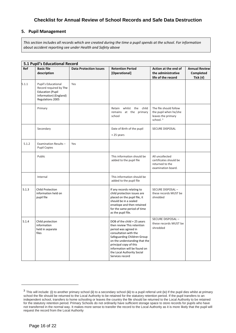#### <span id="page-16-0"></span>**5. Pupil Management**

*This section includes all records which are created during the time a pupil spends at the school. For information about accident reporting see under Health and Safety above*

|       | 5.1 Pupil's Educational Record                                                                                         |                               |                                                                                                                                                                                                                                                                                       |                                                                                               |                                               |  |  |
|-------|------------------------------------------------------------------------------------------------------------------------|-------------------------------|---------------------------------------------------------------------------------------------------------------------------------------------------------------------------------------------------------------------------------------------------------------------------------------|-----------------------------------------------------------------------------------------------|-----------------------------------------------|--|--|
| Ref   | <b>Basic file</b><br>description                                                                                       | <b>Data Protection Issues</b> | <b>Retention Period</b><br>[Operational]                                                                                                                                                                                                                                              | Action at the end of<br>the administrative<br>life of the record                              | <b>Annual Review</b><br>Completed<br>Tick (v) |  |  |
| 5.1.1 | Pupil's Educational<br>Record required by The<br><b>Education (Pupil</b><br>Information) (England)<br>Regulations 2005 | Yes                           |                                                                                                                                                                                                                                                                                       |                                                                                               |                                               |  |  |
|       | Primary                                                                                                                |                               | whilst the child<br>Retain<br>remains at the primary<br>school                                                                                                                                                                                                                        | The file should follow<br>the pupil when he/she<br>leaves the primary<br>school. <sup>3</sup> |                                               |  |  |
|       | Secondary                                                                                                              |                               | Date of Birth of the pupil<br>+25 years                                                                                                                                                                                                                                               | SECURE DISPOSAL                                                                               |                                               |  |  |
| 5.1.2 | Examination Results-<br><b>Pupil Copies</b>                                                                            | Yes                           |                                                                                                                                                                                                                                                                                       |                                                                                               |                                               |  |  |
|       | Public                                                                                                                 |                               | This information should be<br>added to the pupil file                                                                                                                                                                                                                                 | All uncollected<br>certificates should be<br>returned to the<br>examination board.            |                                               |  |  |
|       | Internal                                                                                                               |                               | This information should be<br>added to the pupil file                                                                                                                                                                                                                                 |                                                                                               |                                               |  |  |
| 5.1.3 | <b>Child Protection</b><br>information held on<br>pupil file                                                           |                               | If any records relating to<br>child protection issues are<br>placed on the pupil file, it<br>should be in a sealed<br>envelope and then retained<br>for the same period of time<br>as the pupil file.                                                                                 | SECURE DISPOSAL-<br>these records MUST be<br>shredded                                         |                                               |  |  |
| 5.1.4 | Child protection<br>information<br>held in separate<br>files                                                           |                               | DOB of the child + 25 years<br>then review This retention<br>period was agreed in<br>consultation with the<br>Safeguarding Children Group<br>on the understanding that the<br>principal copy of this<br>information will be found on<br>the Local Authority Social<br>Services record | SECURE DISPOSAL-<br>these records MUST be<br>shredded                                         |                                               |  |  |

 $^3$  This will include: (i) to another primary school (ii) to a secondary school (iii) to a pupil referral unit (iv) If the pupil dies whilst at primary school the file should be returned to the Local Authority to be retained for the statutory retention period. If the pupil transfers to an independent school, transfers to home schooling or leaves the country the file should be returned to the Local Authority to be retained for the statutory retention period. Primary Schools do not ordinarily have sufficient storage space to store records for pupils who have not transferred in the normal way. It makes more sense to transfer the record to the Local Authority as it is more likely that the pupil will request the record from the Local Authority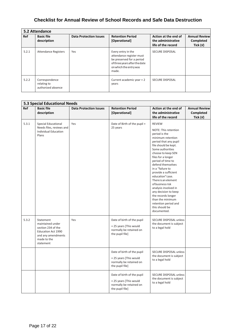|       | 5.2 Attendance                                      |                               |                                                                                                                                                 |                                                                  |                                                 |  |  |  |  |
|-------|-----------------------------------------------------|-------------------------------|-------------------------------------------------------------------------------------------------------------------------------------------------|------------------------------------------------------------------|-------------------------------------------------|--|--|--|--|
| Ref   | <b>Basic file</b><br>description                    | <b>Data Protection Issues</b> | <b>Retention Period</b><br>[Operational]                                                                                                        | Action at the end of<br>the administrative<br>life of the record | <b>Annual Review</b><br>Completed<br>Tick $(v)$ |  |  |  |  |
| 5.2.1 | <b>Attendance Registers</b>                         | Yes                           | Every entry in the<br>attendance register must<br>be preserved for a period<br>of three years after the date<br>on which the entry was<br>made. | <b>SECURE DISPOSAL</b>                                           |                                                 |  |  |  |  |
| 5.2.2 | Correspondence<br>relating to<br>authorized absence |                               | Current academic year + 2<br>years                                                                                                              | SECURE DISPOSAL                                                  |                                                 |  |  |  |  |

|       | <b>5.3 Special Educational Needs</b>                                                                                               |                               |                                                                                                   |                                                                                                                                                                                                                                                                                                                                                                                                                                                                                                      |                                                 |  |  |  |
|-------|------------------------------------------------------------------------------------------------------------------------------------|-------------------------------|---------------------------------------------------------------------------------------------------|------------------------------------------------------------------------------------------------------------------------------------------------------------------------------------------------------------------------------------------------------------------------------------------------------------------------------------------------------------------------------------------------------------------------------------------------------------------------------------------------------|-------------------------------------------------|--|--|--|
| Ref   | <b>Basic file</b><br>description                                                                                                   | <b>Data Protection Issues</b> | <b>Retention Period</b><br>[Operational]                                                          | Action at the end of<br>the administrative<br>life of the record                                                                                                                                                                                                                                                                                                                                                                                                                                     | <b>Annual Review</b><br>Completed<br>Tick $(v)$ |  |  |  |
| 5.3.1 | <b>Special Educational</b><br>Needs files, reviews and<br><b>Individual Education</b><br>Plans                                     | Yes                           | Date of Birth of the pupil +<br>25 years                                                          | <b>REVIEW</b><br>NOTE: This retention<br>period is the<br>minimum retention<br>period that any pupil<br>file should be kept.<br>Some authorities<br>choose to keep SEN<br>files for a longer<br>period of time to<br>defend themselves<br>in a "failure to<br>provide a sufficient<br>education" case.<br>There is an element<br>of business risk<br>analysis involved in<br>any decision to keep<br>the records longer<br>than the minimum<br>retention period and<br>this should be<br>documented. |                                                 |  |  |  |
| 5.3.2 | Statement<br>maintained under<br>section 234 of the<br><b>Education Act 1990</b><br>and any amendments<br>made to the<br>statement | Yes                           | Date of birth of the pupil<br>+25 years [This would<br>normally be retained on<br>the pupil file] | SECURE DISPOSAL unless<br>the document is subject<br>to a legal hold                                                                                                                                                                                                                                                                                                                                                                                                                                 |                                                 |  |  |  |
|       |                                                                                                                                    |                               | Date of birth of the pupil<br>+25 years [This would<br>normally be retained on<br>the pupil file] | SECURE DISPOSAL unless<br>the document is subject<br>to a legal hold                                                                                                                                                                                                                                                                                                                                                                                                                                 |                                                 |  |  |  |
|       |                                                                                                                                    |                               | Date of birth of the pupil<br>+25 years [This would<br>normally be retained on<br>the pupil file] | SECURE DISPOSAL unless<br>the document is subject<br>to a legal hold                                                                                                                                                                                                                                                                                                                                                                                                                                 |                                                 |  |  |  |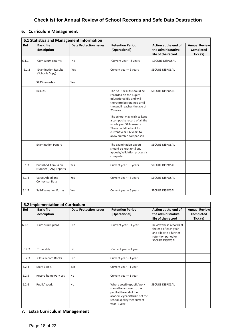#### <span id="page-18-0"></span>**6. Curriculum Management**

| 6.1 Statistics and Management Information |                                                    |                               |                                                                                                                                                                                                                                                                                                                                                 |                                                                  |                                                 |  |  |
|-------------------------------------------|----------------------------------------------------|-------------------------------|-------------------------------------------------------------------------------------------------------------------------------------------------------------------------------------------------------------------------------------------------------------------------------------------------------------------------------------------------|------------------------------------------------------------------|-------------------------------------------------|--|--|
| Ref                                       | <b>Basic file</b><br>description                   | <b>Data Protection Issues</b> | <b>Retention Period</b><br>[Operational]                                                                                                                                                                                                                                                                                                        | Action at the end of<br>the administrative<br>life of the record | <b>Annual Review</b><br>Completed<br>Tick $(v)$ |  |  |
| 6.1.1                                     | Curriculum returns                                 | <b>No</b>                     | Current year + 3 years                                                                                                                                                                                                                                                                                                                          | SECURE DISPOSAL                                                  |                                                 |  |  |
| 6.1.2                                     | <b>Examination Results</b><br>(Schools Copy)       | Yes                           | Current year + 6 years                                                                                                                                                                                                                                                                                                                          | <b>SECURE DISPOSAL</b>                                           |                                                 |  |  |
|                                           | SATS records-                                      | Yes                           |                                                                                                                                                                                                                                                                                                                                                 |                                                                  |                                                 |  |  |
|                                           | Results                                            |                               | The SATS results should be<br>recorded on the pupil's<br>educational file and will<br>therefore be retained until<br>the pupil reaches the age of<br>25 years.<br>The school may wish to keep<br>a composite record of all the<br>whole year SATs results.<br>These could be kept for<br>current year + 6 years to<br>allow suitable comparison | SECURE DISPOSAL                                                  |                                                 |  |  |
|                                           | <b>Examination Papers</b>                          |                               | The examination papers<br>should be kept until any<br>appeals/validation process is<br>complete                                                                                                                                                                                                                                                 | <b>SECURE DISPOSAL</b>                                           |                                                 |  |  |
| 6.1.3                                     | <b>Published Admission</b><br>Number (PAN) Reports | Yes                           | Current year + 6 years                                                                                                                                                                                                                                                                                                                          | <b>SECURE DISPOSAL</b>                                           |                                                 |  |  |
| 6.1.4                                     | Value Added and<br><b>Contextual Data</b>          | Yes                           | Current year + 6 years                                                                                                                                                                                                                                                                                                                          | SECURE DISPOSAL                                                  |                                                 |  |  |
| 6.1.5                                     | Self-Evaluation Forms                              | Yes                           | Current year + 6 years                                                                                                                                                                                                                                                                                                                          | <b>SECURE DISPOSAL</b>                                           |                                                 |  |  |

| 6.2 Implementation of Curriculum |                                  |                               |                                                                                                                                                                    |                                                                                                                     |                                                 |  |  |
|----------------------------------|----------------------------------|-------------------------------|--------------------------------------------------------------------------------------------------------------------------------------------------------------------|---------------------------------------------------------------------------------------------------------------------|-------------------------------------------------|--|--|
| Ref                              | <b>Basic file</b><br>description | <b>Data Protection Issues</b> | <b>Retention Period</b><br>[Operational]                                                                                                                           | Action at the end of<br>the administrative<br>life of the record                                                    | <b>Annual Review</b><br>Completed<br>Tick $(v)$ |  |  |
| 6.2.1                            | Curriculum plans                 | <b>No</b>                     | Current year + 1 year                                                                                                                                              | Review these records at<br>the end of each year<br>and allocate a further<br>retention period or<br>SECURE DISPOSAL |                                                 |  |  |
| 6.2.2                            | Timetable                        | N <sub>o</sub>                | Current year + 1 year                                                                                                                                              |                                                                                                                     |                                                 |  |  |
| 6.2.3                            | Class Record Books               | <b>No</b>                     | Current year + 1 year                                                                                                                                              |                                                                                                                     |                                                 |  |  |
| 6.2.4                            | Mark Books                       | <b>No</b>                     | Current year + 1 year                                                                                                                                              |                                                                                                                     |                                                 |  |  |
| 6.2.5                            | Record homework set              | No                            | Current year + 1 year                                                                                                                                              |                                                                                                                     |                                                 |  |  |
| 6.2.6                            | Pupils' Work                     | No                            | Where possible pupils' work<br>should be returned to the<br>pupil at the end of the<br>academic year if this is not the<br>school'spolicythencurrent<br>year+1year | <b>SECURE DISPOSAL</b>                                                                                              |                                                 |  |  |

#### <span id="page-18-1"></span>**7. Extra Curriculum Management**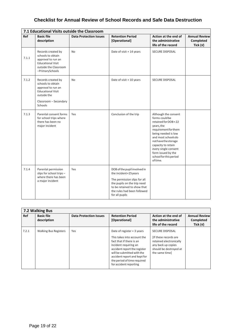| 7.1 Educational Visits outside the Classroom |                                                                                                                                              |                               |                                                                                                                                                                                                     |                                                                                                                                                                                                                                                                                  |                                                 |  |  |
|----------------------------------------------|----------------------------------------------------------------------------------------------------------------------------------------------|-------------------------------|-----------------------------------------------------------------------------------------------------------------------------------------------------------------------------------------------------|----------------------------------------------------------------------------------------------------------------------------------------------------------------------------------------------------------------------------------------------------------------------------------|-------------------------------------------------|--|--|
| Ref                                          | <b>Basic file</b><br>description                                                                                                             | <b>Data Protection Issues</b> | <b>Retention Period</b><br>[Operational]                                                                                                                                                            | Action at the end of<br>the administrative<br>life of the record                                                                                                                                                                                                                 | <b>Annual Review</b><br>Completed<br>Tick $(v)$ |  |  |
| 7.1.1                                        | Records created by<br>schools to obtain<br>approval to run an<br><b>Educational Visit</b><br>outside the Classroom<br>-PrimarySchools        | <b>No</b>                     | Date of visit + 14 years                                                                                                                                                                            | SECURE DISPOSAL                                                                                                                                                                                                                                                                  |                                                 |  |  |
| 7.1.2                                        | Records created by<br>schools to obtain<br>approval to run an<br><b>Educational Visit</b><br>outside the<br>Classroom - Secondary<br>Schools | <b>No</b>                     | Date of visit + 10 years                                                                                                                                                                            | SECURE DISPOSAL                                                                                                                                                                                                                                                                  |                                                 |  |  |
| 7.1.3                                        | Parental consent forms<br>for school trips where<br>there has been no<br>major incident                                                      | Yes                           | Conclusion of the trip                                                                                                                                                                              | Although the consent<br>forms could be<br>retained for DOB+22<br>years, the<br>requirementforthem<br>being needed is low<br>and most schools do<br>nothave the storage<br>capacity to retain<br>every single consent<br>form issued by the<br>school for this period<br>of time. |                                                 |  |  |
| 7.1.4                                        | Parental permission<br>slips for school trips -<br>where there has been<br>a major incident                                                  | Yes                           | DOB of the pupil involved in<br>the incident+25years<br>The permission slips for all<br>the pupils on the trip need<br>to be retained to show that<br>the rules had been followed<br>for all pupils |                                                                                                                                                                                                                                                                                  |                                                 |  |  |

| 7.2 Walking Bus |                                  |                               |                                                                                                                                                                                                                                                                       |                                                                                                                                               |                                                 |  |  |
|-----------------|----------------------------------|-------------------------------|-----------------------------------------------------------------------------------------------------------------------------------------------------------------------------------------------------------------------------------------------------------------------|-----------------------------------------------------------------------------------------------------------------------------------------------|-------------------------------------------------|--|--|
| Ref             | <b>Basic file</b><br>description | <b>Data Protection Issues</b> | <b>Retention Period</b><br>[Operational]                                                                                                                                                                                                                              | Action at the end of<br>the administrative<br>life of the record                                                                              | <b>Annual Review</b><br>Completed<br>Tick $(v)$ |  |  |
| 7.2.1           | <b>Walking Bus Registers</b>     | Yes                           | Date of register + 3 years<br>This takes into account the<br>fact that if there is an<br>incident requiring an<br>accident report the register<br>will be submitted with the<br>accident report and kept for<br>the period of time required<br>for accident reporting | <b>SECURE DISPOSAL</b><br>[If these records are]<br>retained electronically<br>any back up copies<br>should be destroyed at<br>the same timel |                                                 |  |  |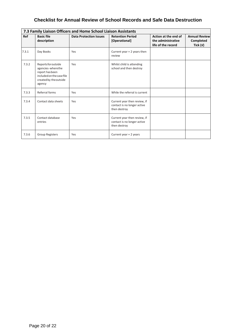| 7.3 Family Liaison Officers and Home School Liaison Assistants |                                                                                                                            |                               |                                                                             |                                                                  |                                                 |  |  |
|----------------------------------------------------------------|----------------------------------------------------------------------------------------------------------------------------|-------------------------------|-----------------------------------------------------------------------------|------------------------------------------------------------------|-------------------------------------------------|--|--|
| Ref                                                            | <b>Basic file</b><br>description                                                                                           | <b>Data Protection Issues</b> | <b>Retention Period</b><br>[Operational]                                    | Action at the end of<br>the administrative<br>life of the record | <b>Annual Review</b><br>Completed<br>Tick $(v)$ |  |  |
| 7.3.1                                                          | Day Books                                                                                                                  | Yes                           | Current year + 2 years then<br>review                                       |                                                                  |                                                 |  |  |
| 7.3.2                                                          | Reportsforoutside<br>agencies-wherethe<br>report has been<br>included on the case file<br>created by the outside<br>agency | Yes                           | Whilst child is attending<br>school and then destroy                        |                                                                  |                                                 |  |  |
| 7.3.3                                                          | Referral forms                                                                                                             | Yes                           | While the referral is current                                               |                                                                  |                                                 |  |  |
| 7.3.4                                                          | Contact data sheets                                                                                                        | Yes                           | Current year then review, if<br>contact is no longer active<br>then destroy |                                                                  |                                                 |  |  |
| 7.3.5                                                          | Contact database<br>entries                                                                                                | Yes                           | Current year then review, if<br>contact is no longer active<br>then destroy |                                                                  |                                                 |  |  |
| 7.3.6                                                          | <b>Group Registers</b>                                                                                                     | Yes                           | Current year + 2 years                                                      |                                                                  |                                                 |  |  |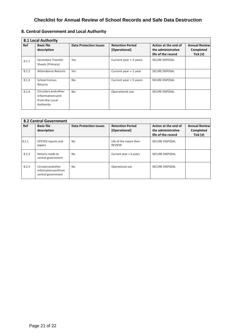# <span id="page-21-0"></span>**8. Central Government and Local Authority**

| <b>8.1 Local Authority</b> |                                                                        |                               |                                          |                                                                  |                                                 |  |  |
|----------------------------|------------------------------------------------------------------------|-------------------------------|------------------------------------------|------------------------------------------------------------------|-------------------------------------------------|--|--|
| <b>Ref</b>                 | <b>Basic file</b><br>description                                       | <b>Data Protection Issues</b> | <b>Retention Period</b><br>[Operational] | Action at the end of<br>the administrative<br>life of the record | <b>Annual Review</b><br>Completed<br>Tick $(v)$ |  |  |
| 8.1.1                      | Secondary Transfer<br>Sheets (Primary)                                 | Yes                           | Current year + 2 years                   | <b>SECURE DISPOSAL</b>                                           |                                                 |  |  |
| 8.1.2                      | <b>Attendance Returns</b>                                              | Yes                           | Current year + 1 year                    | <b>SECURE DISPOSAL</b>                                           |                                                 |  |  |
| 8.1.3                      | <b>School Census</b><br>Returns                                        | <b>No</b>                     | Current year + 5 years                   | <b>SECURE DISPOSAL</b>                                           |                                                 |  |  |
| 8.1.4                      | Circulars and other<br>information sent<br>from the Local<br>Authority | <b>No</b>                     | Operational use                          | <b>SECURE DISPOSAL</b>                                           |                                                 |  |  |

| <b>8.2 Central Government</b> |                                                                |                               |                                          |                                                                  |                                                 |  |  |
|-------------------------------|----------------------------------------------------------------|-------------------------------|------------------------------------------|------------------------------------------------------------------|-------------------------------------------------|--|--|
| Ref                           | <b>Basic file</b><br>description                               | <b>Data Protection Issues</b> | <b>Retention Period</b><br>[Operational] | Action at the end of<br>the administrative<br>life of the record | <b>Annual Review</b><br>Completed<br>Tick $(v)$ |  |  |
| 8.2.1                         | OFSTED reports and<br>papers                                   | No                            | Life of the report then<br><b>REVIEW</b> | <b>SECURE DISPOSAL</b>                                           |                                                 |  |  |
| 8.2.2                         | Returns made to<br>central government                          | <b>No</b>                     | Current year + 6 years                   | <b>SECURE DISPOSAL</b>                                           |                                                 |  |  |
| 8.2.3                         | Circularsandother<br>informationsentfrom<br>central government | <b>No</b>                     | Operational use                          | <b>SECURE DISPOSAL</b>                                           |                                                 |  |  |